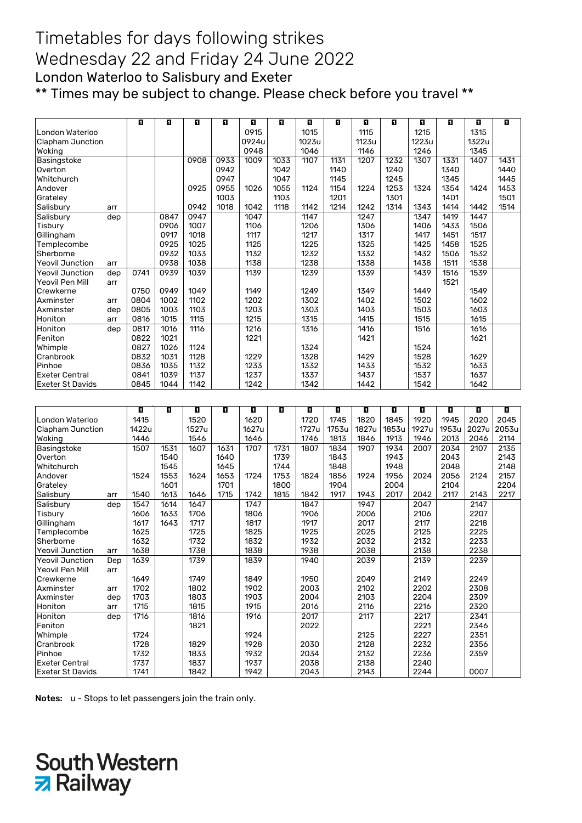#### Timetables for days following strikes Wednesday 22 and Friday 24 June 2022 London Waterloo to Salisbury and Exeter \*\* Times may be subject to change. Please check before you travel \*\*

|                                    |     | O            | п    | ū            | O    | O            | Ð    | O            | D.    | ū            | O     | E.           | Ð            | O     | п     |
|------------------------------------|-----|--------------|------|--------------|------|--------------|------|--------------|-------|--------------|-------|--------------|--------------|-------|-------|
| London Waterloo                    |     |              |      |              |      | 0915         |      | 1015         |       | 1115         |       | 1215         |              | 1315  |       |
|                                    |     |              |      |              |      | 0924u        |      | 1023u        |       | 1123u        |       | 1223u        |              | 1322u |       |
| Clapham Junction                   |     |              |      |              |      | 0948         |      | 1046         |       |              |       |              |              | 1345  |       |
| Woking                             |     |              |      |              |      |              |      |              |       | 1146         |       | 1246         |              |       |       |
| Basingstoke                        |     |              |      | 0908         | 0933 | 1009         | 1033 | 1107         | 1131  | 1207         | 1232  | 1307         | 1331         | 1407  | 1431  |
| Overton                            |     |              |      |              | 0942 |              | 1042 |              | 1140  |              | 1240  |              | 1340         |       | 1440  |
| Whitchurch                         |     |              |      |              | 0947 |              | 1047 |              | 1145  |              | 1245  |              | 1345         |       | 1445  |
| Andover                            |     |              |      | 0925         | 0955 | 1026         | 1055 | 1124         | 1154  | 1224         | 1253  | 1324         | 1354         | 1424  | 1453  |
| Grateley                           |     |              |      |              | 1003 |              | 1103 |              | 1201  |              | 1301  |              | 1401         |       | 1501  |
| Salisbury                          | arr |              |      | 0942         | 1018 | 1042         | 1118 | 1142         | 1214  | 1242         | 1314  | 1343         | 1414         | 1442  | 1514  |
| Salisbury                          | dep |              | 0847 | 0947         |      | 1047         |      | 1147         |       | 1247         |       | 1347         | 1419         | 1447  |       |
| Tisbury                            |     |              | 0906 | 1007         |      | 1106         |      | 1206         |       | 1306         |       | 1406         | 1433         | 1506  |       |
| Gillingham                         |     |              | 0917 | 1018         |      | 1117         |      | 1217         |       | 1317         |       | 1417         | 1451         | 1517  |       |
| Templecombe                        |     |              | 0925 | 1025         |      | 1125         |      | 1225         |       | 1325         |       | 1425         | 1458         | 1525  |       |
| Sherborne                          |     |              | 0932 | 1033         |      | 1132         |      | 1232         |       | 1332         |       | 1432         | 1506         | 1532  |       |
| <b>Yeovil Junction</b>             | arr |              | 0938 | 1038         |      | 1138         |      | 1238         |       | 1338         |       | 1438         | 1511         | 1538  |       |
| <b>Yeovil Junction</b>             | dep | 0741         | 0939 | 1039         |      | 1139         |      | 1239         |       | 1339         |       | 1439         | 1516         | 1539  |       |
| Yeovil Pen Mill                    | arr |              |      |              |      |              |      |              |       |              |       |              | 1521         |       |       |
| Crewkerne                          |     | 0750         | 0949 | 1049         |      | 1149         |      | 1249         |       | 1349         |       | 1449         |              | 1549  |       |
| Axminster                          | arr | 0804         | 1002 | 1102         |      | 1202         |      | 1302         |       | 1402         |       | 1502         |              | 1602  |       |
| Axminster                          | dep | 0805         | 1003 | 1103         |      | 1203         |      | 1303         |       | 1403         |       | 1503         |              | 1603  |       |
| Honiton                            | arr | 0816         | 1015 | 1115         |      | 1215         |      | 1315         |       | 1415         |       | 1515         |              | 1615  |       |
| Honiton                            | dep | 0817         | 1016 | 1116         |      | 1216         |      | 1316         |       | 1416         |       | 1516         |              | 1616  |       |
| Feniton                            |     | 0822         | 1021 |              |      | 1221         |      |              |       | 1421         |       |              |              | 1621  |       |
|                                    |     |              |      |              |      |              |      |              |       |              |       |              |              |       |       |
| Whimple                            |     | 0827         | 1026 | 1124         |      |              |      | 1324         |       |              |       | 1524         |              |       |       |
| Cranbrook                          |     | 0832         | 1031 | 1128         |      | 1229         |      | 1328         |       | 1429         |       | 1528         |              | 1629  |       |
| Pinhoe                             |     | 0836         | 1035 | 1132         |      | 1233         |      | 1332         |       | 1433         |       | 1532         |              | 1633  |       |
| <b>Exeter Central</b>              |     | 0841         | 1039 | 1137         |      | 1237         |      | 1337         |       | 1437         |       | 1537         |              | 1637  |       |
| <b>Exeter St Davids</b>            |     | 0845         | 1044 | 1142         |      | 1242         |      | 1342         |       | 1442         |       | 1542         |              | 1642  |       |
|                                    |     |              |      |              |      |              |      |              |       |              |       |              |              |       |       |
|                                    |     | O            | п    | ū            | ū    | O            | O    | O            | П     | П            | ū     | E.           | O            | O     | D.    |
| London Waterloo                    |     | 1415         |      | 1520         |      | 1620         |      | 1720         | 1745  | 1820         | 1845  | 1920         | 1945         | 2020  | 2045  |
| Clapham Junction                   |     | 1422u        |      | 1527u        |      | 1627u        |      | 1727u        | 1753u | 1827u        | 1853u | 1927u        | 1953u        | 2027u | 2053u |
|                                    |     | 1446         |      | 1546         |      | 1646         |      | 1746         | 1813  |              | 1913  | 1946         | 2013         | 2046  |       |
| Woking                             |     |              |      |              |      |              |      |              |       | 1846         |       |              |              |       | 2114  |
| Basingstoke                        |     |              |      |              |      |              |      |              |       |              |       |              | 2034<br>2043 |       |       |
|                                    |     | 1507         | 1531 | 1607         | 1631 | 1707         | 1731 | 1807         | 1834  | 1907         | 1934  | 2007         |              | 2107  | 2135  |
| Overton                            |     |              | 1540 |              | 1640 |              | 1739 |              | 1843  |              | 1943  |              |              |       | 2143  |
| Whitchurch                         |     |              | 1545 |              | 1645 |              | 1744 |              | 1848  |              | 1948  |              | 2048         |       | 2148  |
| Andover                            |     | 1524         | 1553 | 1624         | 1653 | 1724         | 1753 | 1824         | 1856  | 1924         | 1956  | 2024         | 2056         | 2124  | 2157  |
| Grateley                           |     |              | 1601 |              | 1701 |              | 1800 |              | 1904  |              | 2004  |              | 2104         |       | 2204  |
| Salisbury                          | arr | 1540         | 1613 | 1646         | 1715 | 1742         | 1815 | 1842         | 1917  | 1943         | 2017  | 2042         | 2117         | 2143  | 2217  |
| Salisbury                          | dep | 1547         | 1614 | 1647         |      | 1747         |      | 1847         |       | 1947         |       | 2047         |              | 2147  |       |
| Tisbury                            |     | 1606         | 1633 | 1706         |      | 1806         |      | 1906         |       | 2006         |       | 2106         |              | 2207  |       |
| Gillingham                         |     | 1617         | 1643 | 1717         |      | 1817         |      | 1917         |       | 2017         |       | 2117         |              | 2218  |       |
| Templecombe                        |     | 1625         |      | 1725         |      | 1825         |      | 1925         |       | 2025         |       | 2125         |              | 2225  |       |
| Sherborne                          |     | 1632         |      | 1732         |      | 1832         |      | 1932         |       | 2032         |       | 2132         |              | 2233  |       |
| <b>Yeovil Junction</b>             | arr | 1638         |      | 1738         |      | 1838         |      | 1938         |       | 2038         |       | 2138         |              | 2238  |       |
| <b>Yeovil Junction</b>             | Dep | 1639         |      | 1739         |      | 1839         |      | 1940         |       | 2039         |       | 2139         |              | 2239  |       |
| Yeovil Pen Mill                    | arr |              |      |              |      |              |      |              |       |              |       |              |              |       |       |
| Crewkerne                          |     | 1649         |      | 1749         |      | 1849         |      | 1950         |       | 2049         |       | 2149         |              | 2249  |       |
| Axminster                          |     | 1702         |      | 1802         |      | 1902         |      | 2003         |       | 2102         |       | 2202         |              | 2308  |       |
|                                    | arr |              |      |              |      |              |      |              |       |              |       |              |              |       |       |
| Axminster                          | dep | 1703         |      | 1803         |      | 1903         |      | 2004         |       | 2103         |       | 2204         |              | 2309  |       |
| Honiton                            | arr | 1715         |      | 1815         |      | 1915         |      | 2016         |       | 2116         |       | 2216         |              | 2320  |       |
| Honiton                            | dep | 1716         |      | 1816         |      | 1916         |      | 2017         |       | 2117         |       | 2217         |              | 2341  |       |
| Feniton                            |     |              |      | 1821         |      |              |      | 2022         |       |              |       | 2221         |              | 2346  |       |
| Whimple                            |     | 1724         |      |              |      | 1924         |      |              |       | 2125         |       | 2227         |              | 2351  |       |
| Cranbrook                          |     | 1728         |      | 1829         |      | 1928         |      | 2030         |       | 2128         |       | 2232         |              | 2356  |       |
| Pinhoe                             |     | 1732         |      | 1833         |      | 1932         |      | 2034         |       | 2132         |       | 2236         |              | 2359  |       |
| Exeter Central<br>Exeter St Davids |     | 1737<br>1741 |      | 1837<br>1842 |      | 1937<br>1942 |      | 2038<br>2043 |       | 2138<br>2143 |       | 2240<br>2244 |              | 0007  |       |

Notes: u - Stops to let passengers join the train only.

# **South Western Z** Railway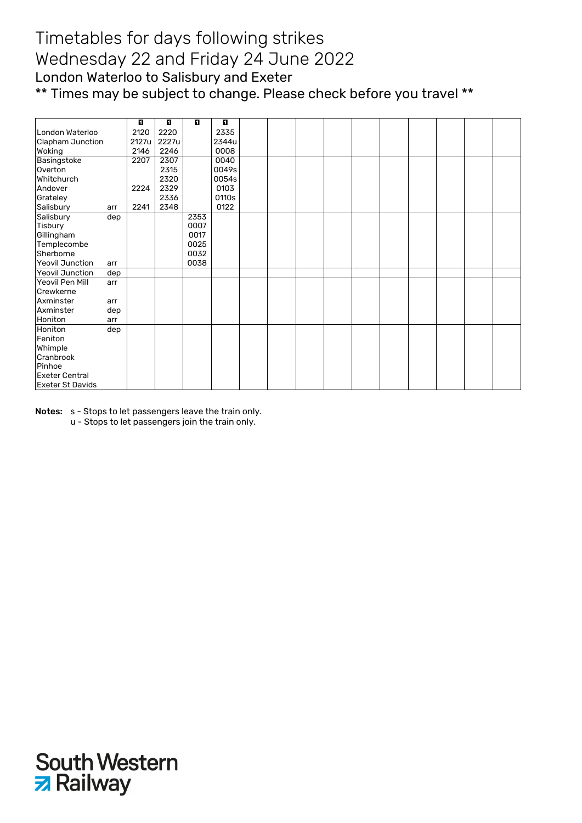### Timetables for days following strikes Wednesday 22 and Friday 24 June 2022 London Waterloo to Salisbury and Exeter \*\* Times may be subject to change. Please check before you travel \*\*

|                         |     | п     | п     | D.   | П     |  |  |  |  |  |
|-------------------------|-----|-------|-------|------|-------|--|--|--|--|--|
| London Waterloo         |     | 2120  | 2220  |      | 2335  |  |  |  |  |  |
| <b>Clapham Junction</b> |     | 2127u | 2227u |      | 2344u |  |  |  |  |  |
| Woking                  |     | 2146  | 2246  |      | 0008  |  |  |  |  |  |
| Basingstoke             |     | 2207  | 2307  |      | 0040  |  |  |  |  |  |
| Overton                 |     |       | 2315  |      | 0049s |  |  |  |  |  |
| Whitchurch              |     |       | 2320  |      | 0054s |  |  |  |  |  |
| Andover                 |     | 2224  | 2329  |      | 0103  |  |  |  |  |  |
| Grateley                |     |       | 2336  |      | 0110s |  |  |  |  |  |
| Salisbury               | arr | 2241  | 2348  |      | 0122  |  |  |  |  |  |
| Salisbury               | dep |       |       | 2353 |       |  |  |  |  |  |
| Tisbury                 |     |       |       | 0007 |       |  |  |  |  |  |
| Gillingham              |     |       |       | 0017 |       |  |  |  |  |  |
| Templecombe             |     |       |       | 0025 |       |  |  |  |  |  |
| Sherborne               |     |       |       | 0032 |       |  |  |  |  |  |
| <b>Yeovil Junction</b>  | arr |       |       | 0038 |       |  |  |  |  |  |
| <b>Yeovil Junction</b>  | dep |       |       |      |       |  |  |  |  |  |
| Yeovil Pen Mill         | arr |       |       |      |       |  |  |  |  |  |
| Crewkerne               |     |       |       |      |       |  |  |  |  |  |
| Axminster               | arr |       |       |      |       |  |  |  |  |  |
| Axminster               | dep |       |       |      |       |  |  |  |  |  |
| Honiton                 | arr |       |       |      |       |  |  |  |  |  |
| Honiton                 | dep |       |       |      |       |  |  |  |  |  |
| Feniton                 |     |       |       |      |       |  |  |  |  |  |
| Whimple                 |     |       |       |      |       |  |  |  |  |  |
| Cranbrook               |     |       |       |      |       |  |  |  |  |  |
| Pinhoe                  |     |       |       |      |       |  |  |  |  |  |
| Exeter Central          |     |       |       |      |       |  |  |  |  |  |
| <b>Exeter St Davids</b> |     |       |       |      |       |  |  |  |  |  |

Notes: s - Stops to let passengers leave the train only.

u - Stops to let passengers join the train only.

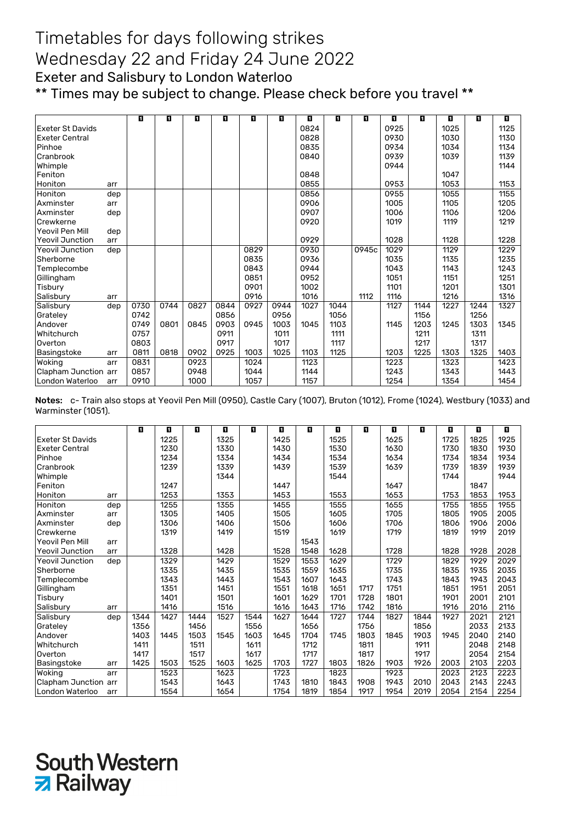## Timetables for days following strikes Wednesday 22 and Friday 24 June 2022 Exeter and Salisbury to London Waterloo

\*\* Times may be subject to change. Please check before you travel \*\*

|                         |     | E.   | O    | O    | O    | O    | П    | O    | п    | D.    | П    | п    | п    | п    | п    |
|-------------------------|-----|------|------|------|------|------|------|------|------|-------|------|------|------|------|------|
| <b>Exeter St Davids</b> |     |      |      |      |      |      |      | 0824 |      |       | 0925 |      | 1025 |      | 1125 |
| <b>Exeter Central</b>   |     |      |      |      |      |      |      | 0828 |      |       | 0930 |      | 1030 |      | 1130 |
| Pinhoe                  |     |      |      |      |      |      |      | 0835 |      |       | 0934 |      | 1034 |      | 1134 |
| Cranbrook               |     |      |      |      |      |      |      | 0840 |      |       | 0939 |      | 1039 |      | 1139 |
| Whimple                 |     |      |      |      |      |      |      |      |      |       | 0944 |      |      |      | 1144 |
| Feniton                 |     |      |      |      |      |      |      | 0848 |      |       |      |      | 1047 |      |      |
| Honiton                 | arr |      |      |      |      |      |      | 0855 |      |       | 0953 |      | 1053 |      | 1153 |
| Honiton                 | dep |      |      |      |      |      |      | 0856 |      |       | 0955 |      | 1055 |      | 1155 |
| Axminster               | arr |      |      |      |      |      |      | 0906 |      |       | 1005 |      | 1105 |      | 1205 |
| Axminster               | dep |      |      |      |      |      |      | 0907 |      |       | 1006 |      | 1106 |      | 1206 |
| Crewkerne               |     |      |      |      |      |      |      | 0920 |      |       | 1019 |      | 1119 |      | 1219 |
| Yeovil Pen Mill         | dep |      |      |      |      |      |      |      |      |       |      |      |      |      |      |
| <b>Yeovil Junction</b>  | arr |      |      |      |      |      |      | 0929 |      |       | 1028 |      | 1128 |      | 1228 |
| <b>Yeovil Junction</b>  | dep |      |      |      |      | 0829 |      | 0930 |      | 0945c | 1029 |      | 1129 |      | 1229 |
| Sherborne               |     |      |      |      |      | 0835 |      | 0936 |      |       | 1035 |      | 1135 |      | 1235 |
| Templecombe             |     |      |      |      |      | 0843 |      | 0944 |      |       | 1043 |      | 1143 |      | 1243 |
| Gillingham              |     |      |      |      |      | 0851 |      | 0952 |      |       | 1051 |      | 1151 |      | 1251 |
| Tisbury                 |     |      |      |      |      | 0901 |      | 1002 |      |       | 1101 |      | 1201 |      | 1301 |
| Salisbury               | arr |      |      |      |      | 0916 |      | 1016 |      | 1112  | 1116 |      | 1216 |      | 1316 |
| Salisbury               | dep | 0730 | 0744 | 0827 | 0844 | 0927 | 0944 | 1027 | 1044 |       | 1127 | 1144 | 1227 | 1244 | 1327 |
| Grateley                |     | 0742 |      |      | 0856 |      | 0956 |      | 1056 |       |      | 1156 |      | 1256 |      |
| Andover                 |     | 0749 | 0801 | 0845 | 0903 | 0945 | 1003 | 1045 | 1103 |       | 1145 | 1203 | 1245 | 1303 | 1345 |
| Whitchurch              |     | 0757 |      |      | 0911 |      | 1011 |      | 1111 |       |      | 1211 |      | 1311 |      |
| Overton                 |     | 0803 |      |      | 0917 |      | 1017 |      | 1117 |       |      | 1217 |      | 1317 |      |
| Basingstoke             | arr | 0811 | 0818 | 0902 | 0925 | 1003 | 1025 | 1103 | 1125 |       | 1203 | 1225 | 1303 | 1325 | 1403 |
| Woking                  | arr | 0831 |      | 0923 |      | 1024 |      | 1123 |      |       | 1223 |      | 1323 |      | 1423 |
| Clapham Junction arr    |     | 0857 |      | 0948 |      | 1044 |      | 1144 |      |       | 1243 |      | 1343 |      | 1443 |
| London Waterloo         | arr | 0910 |      | 1000 |      | 1057 |      | 1157 |      |       | 1254 |      | 1354 |      | 1454 |

Notes: c- Train also stops at Yeovil Pen Mill (0950), Castle Cary (1007), Bruton (1012), Frome (1024), Westbury (1033) and Warminster (1051).

|                         |     | П    | O    | D.   | O    | п    | O    | п    | п    | O    | П    | п    | п    | O    | п    |
|-------------------------|-----|------|------|------|------|------|------|------|------|------|------|------|------|------|------|
| <b>Exeter St Davids</b> |     |      | 1225 |      | 1325 |      | 1425 |      | 1525 |      | 1625 |      | 1725 | 1825 | 1925 |
| <b>Exeter Central</b>   |     |      | 1230 |      | 1330 |      | 1430 |      | 1530 |      | 1630 |      | 1730 | 1830 | 1930 |
| Pinhoe                  |     |      | 1234 |      | 1334 |      | 1434 |      | 1534 |      | 1634 |      | 1734 | 1834 | 1934 |
| Cranbrook               |     |      | 1239 |      | 1339 |      | 1439 |      | 1539 |      | 1639 |      | 1739 | 1839 | 1939 |
| Whimple                 |     |      |      |      | 1344 |      |      |      | 1544 |      |      |      | 1744 |      | 1944 |
| Feniton                 |     |      | 1247 |      |      |      | 1447 |      |      |      | 1647 |      |      | 1847 |      |
| Honiton                 | arr |      | 1253 |      | 1353 |      | 1453 |      | 1553 |      | 1653 |      | 1753 | 1853 | 1953 |
| Honiton                 | dep |      | 1255 |      | 1355 |      | 1455 |      | 1555 |      | 1655 |      | 1755 | 1855 | 1955 |
| Axminster               | arr |      | 1305 |      | 1405 |      | 1505 |      | 1605 |      | 1705 |      | 1805 | 1905 | 2005 |
| Axminster               | dep |      | 1306 |      | 1406 |      | 1506 |      | 1606 |      | 1706 |      | 1806 | 1906 | 2006 |
| Crewkerne               |     |      | 1319 |      | 1419 |      | 1519 |      | 1619 |      | 1719 |      | 1819 | 1919 | 2019 |
| Yeovil Pen Mill         | arr |      |      |      |      |      |      | 1543 |      |      |      |      |      |      |      |
| <b>Yeovil Junction</b>  | arr |      | 1328 |      | 1428 |      | 1528 | 1548 | 1628 |      | 1728 |      | 1828 | 1928 | 2028 |
| <b>Yeovil Junction</b>  | dep |      | 1329 |      | 1429 |      | 1529 | 1553 | 1629 |      | 1729 |      | 1829 | 1929 | 2029 |
| Sherborne               |     |      | 1335 |      | 1435 |      | 1535 | 1559 | 1635 |      | 1735 |      | 1835 | 1935 | 2035 |
| Templecombe             |     |      | 1343 |      | 1443 |      | 1543 | 1607 | 1643 |      | 1743 |      | 1843 | 1943 | 2043 |
| Gillingham              |     |      | 1351 |      | 1451 |      | 1551 | 1618 | 1651 | 1717 | 1751 |      | 1851 | 1951 | 2051 |
| Tisbury                 |     |      | 1401 |      | 1501 |      | 1601 | 1629 | 1701 | 1728 | 1801 |      | 1901 | 2001 | 2101 |
| Salisbury               | arr |      | 1416 |      | 1516 |      | 1616 | 1643 | 1716 | 1742 | 1816 |      | 1916 | 2016 | 2116 |
| Salisbury               | dep | 1344 | 1427 | 1444 | 1527 | 1544 | 1627 | 1644 | 1727 | 1744 | 1827 | 1844 | 1927 | 2021 | 2121 |
| Grateley                |     | 1356 |      | 1456 |      | 1556 |      | 1656 |      | 1756 |      | 1856 |      | 2033 | 2133 |
| Andover                 |     | 1403 | 1445 | 1503 | 1545 | 1603 | 1645 | 1704 | 1745 | 1803 | 1845 | 1903 | 1945 | 2040 | 2140 |
| Whitchurch              |     | 1411 |      | 1511 |      | 1611 |      | 1712 |      | 1811 |      | 1911 |      | 2048 | 2148 |
| Overton                 |     | 1417 |      | 1517 |      | 1617 |      | 1717 |      | 1817 |      | 1917 |      | 2054 | 2154 |
| Basingstoke             | arr | 1425 | 1503 | 1525 | 1603 | 1625 | 1703 | 1727 | 1803 | 1826 | 1903 | 1926 | 2003 | 2103 | 2203 |
| Woking                  | arr |      | 1523 |      | 1623 |      | 1723 |      | 1823 |      | 1923 |      | 2023 | 2123 | 2223 |
| Clapham Junction arr    |     |      | 1543 |      | 1643 |      | 1743 | 1810 | 1843 | 1908 | 1943 | 2010 | 2043 | 2143 | 2243 |
| London Waterloo         | arr |      | 1554 |      | 1654 |      | 1754 | 1819 | 1854 | 1917 | 1954 | 2019 | 2054 | 2154 | 2254 |

**South Western** 

**z** Railway